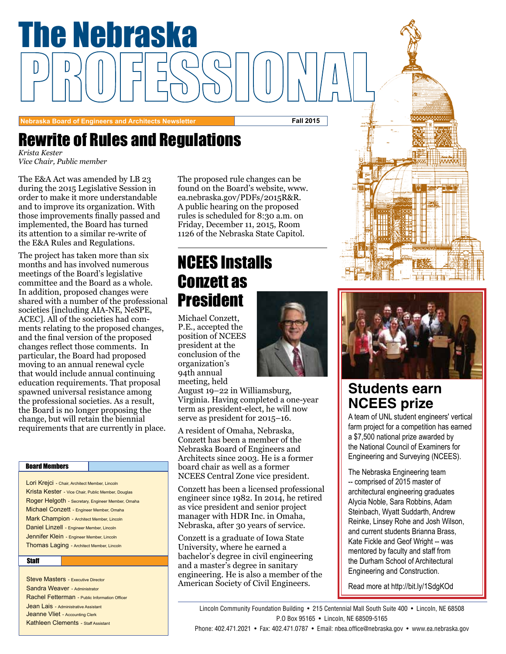

Rewrite of Rules and Regulations

*Krista Kester Vice Chair, Public member* 

was amended by <mark>LE</mark><br>15 Legislative Sessie<br>1 it more understane and to improve its organization. With The E&A Act was amended by LB 23 during the 2015 Legislative Session in order to make it more understandable those improvements finally passed and implemented, the Board has turned its attention to a similar re-write of the E&A Rules and Regulations.

The project has taken more than six months and has involved numerous meetings of the Board's legislative committee and the Board as a whole. In addition, proposed changes were shared with a number of the professional societies [including AIA-NE, NeSPE, ACEC]. All of the societies had comments relating to the proposed changes, and the final version of the proposed changes reflect those comments. In particular, the Board had proposed moving to an annual renewal cycle that would include annual continuing education requirements. That proposal spawned universal resistance among the professional societies. As a result, the Board is no longer proposing the change, but will retain the biennial requirements that are currently in place.

#### Board Members

Lori Krejci - Chair, Architect Member, Lincoln Krista Kester - Vice Chair, Public Member, Douglas Roger Helgoth - Secretary, Engineer Member, Omaha Michael Conzett - Engineer Member, Omaha Mark Champion - Architect Member, Lincoln Daniel Linzell - Engineer Member, Lincoln Jennifer Klein - Engineer Member, Lincoln Thomas Laging - Architect Member, Lincoln

#### **Staff**

Steve Masters - Executive Director Sandra Weaver - Administrator Rachel Fetterman - Public Information Officer **Jean Lais - Administrative Assistant** Jeanne Vliet - Accounting Clerk Kathleen Clements - Staff Assistant

le changes can be<br>ırd's website, www.<br>′PDFs/2015R&R. A public hearing on the proposed The proposed rule changes can be found on the Board's website, www. ea.nebraska.gov/PDFs/2015R&R. rules is scheduled for 8:30 a.m. on Friday, December 11, 2015, Room 1126 of the Nebraska State Capitol.

## NCEES Installs Conzett as President

Michael Conzett, P.E., accepted the position of NCEES president at the conclusion of the organization's 94th annual meeting, held



August 19–22 in Williamsburg, Virginia. Having completed a one-year term as president-elect, he will now serve as president for 2015–16.

A resident of Omaha, Nebraska, Conzett has been a member of the Nebraska Board of Engineers and Architects since 2003. He is a former board chair as well as a former NCEES Central Zone vice president.

Conzett has been a licensed professional engineer since 1982. In 2014, he retired as vice president and senior project manager with HDR Inc. in Omaha, Nebraska, after 30 years of service.

Conzett is a graduate of Iowa State University, where he earned a bachelor's degree in civil engineering and a master's degree in sanitary engineering. He is also a member of the American Society of Civil Engineers.



## **Students earn NCEES prize**

A team of UNL student engineers' vertical farm project for a competition has earned a \$7,500 national prize awarded by the National Council of Examiners for Engineering and Surveying (NCEES).

The Nebraska Engineering team -- comprised of 2015 master of architectural engineering graduates Alycia Noble, Sara Robbins, Adam Steinbach, Wyatt Suddarth, Andrew Reinke, Linsey Rohe and Josh Wilson, and current students Brianna Brass, Kate Fickle and Geof Wright -- was mentored by faculty and staff from the Durham School of Architectural Engineering and Construction.

Read more at http://bit.ly/1SdgKOd

Lincoln Community Foundation Building • 215 Centennial Mall South Suite 400 • Lincoln, NE 68508 P.O Box 95165 • Lincoln, NE 68509-5165

Phone: 402.471.2021 • Fax: 402.471.0787 • Email: nbea.office@nebraska.gov • www.ea.nebraska.gov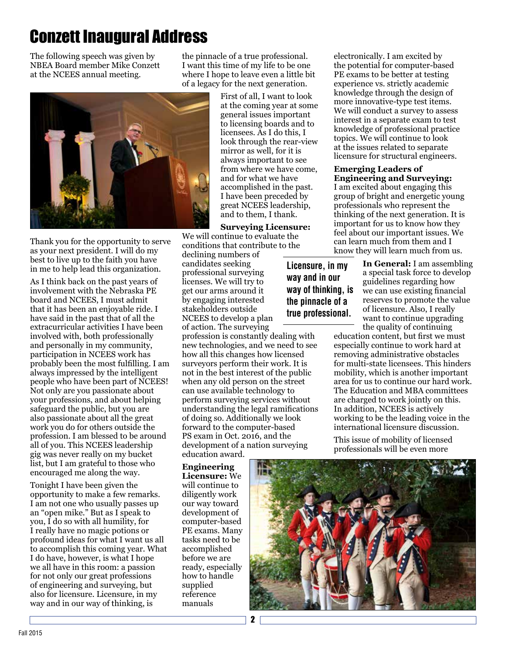# Conzett Inaugural Address

The following speech was given by NBEA Board member Mike Conzett at the NCEES annual meeting.

Thank you for the opportunity to serve as your next president. I will do my best to live up to the faith you have in me to help lead this organization.

As I think back on the past years of involvement with the Nebraska PE board and NCEES, I must admit that it has been an enjoyable ride. I have said in the past that of all the extracurricular activities I have been involved with, both professionally and personally in my community, participation in NCEES work has probably been the most fulfilling. I am always impressed by the intelligent people who have been part of NCEES! Not only are you passionate about your professions, and about helping safeguard the public, but you are also passionate about all the great work you do for others outside the profession. I am blessed to be around all of you. This NCEES leadership gig was never really on my bucket list, but I am grateful to those who encouraged me along the way.

Tonight I have been given the opportunity to make a few remarks. I am not one who usually passes up an "open mike." But as I speak to you, I do so with all humility, for I really have no magic potions or profound ideas for what I want us all to accomplish this coming year. What I do have, however, is what I hope we all have in this room: a passion for not only our great professions of engineering and surveying, but also for licensure. Licensure, in my way and in our way of thinking, is

the pinnacle of a true professional. I want this time of my life to be one where I hope to leave even a little bit of a legacy for the next generation.

> First of all, I want to look at the coming year at some general issues important to licensing boards and to licensees. As I do this, I look through the rear-view mirror as well, for it is always important to see from where we have come, and for what we have accomplished in the past. I have been preceded by great NCEES leadership, and to them, I thank.

**Surveying Licensure:** We will continue to evaluate the conditions that contribute to the

declining numbers of candidates seeking professional surveying licenses. We will try to get our arms around it by engaging interested stakeholders outside NCEES to develop a plan

of action. The surveying profession is constantly dealing with new technologies, and we need to see how all this changes how licensed surveyors perform their work. It is not in the best interest of the public when any old person on the street can use available technology to perform surveying services without understanding the legal ramifications of doing so. Additionally we look forward to the computer-based PS exam in Oct. 2016, and the development of a nation surveying education award.

**Engineering Licensure:** We will continue to diligently work our way toward development of computer-based PE exams. Many tasks need to be accomplished before we are ready, especially how to handle supplied reference manuals

electronically. I am excited by the potential for computer-based PE exams to be better at testing experience vs. strictly academic knowledge through the design of more innovative-type test items. We will conduct a survey to assess interest in a separate exam to test knowledge of professional practice topics. We will continue to look at the issues related to separate licensure for structural engineers.

#### **Emerging Leaders of Engineering and Surveying:**

I am excited about engaging this group of bright and energetic young professionals who represent the thinking of the next generation. It is important for us to know how they feel about our important issues. We can learn much from them and I know they will learn much from us.

**Licensure, in my way and in our** 

**In General:** I am assembling a special task force to develop guidelines regarding how we can use existing financial reserves to promote the value of licensure. Also, I really want to continue upgrading the quality of continuing

education content, but first we must especially continue to work hard at removing administrative obstacles for multi-state licensees. This hinders mobility, which is another important area for us to continue our hard work. The Education and MBA committees are charged to work jointly on this. In addition, NCEES is actively working to be the leading voice in the international licensure discussion.

This issue of mobility of licensed professionals will be even more



**way of thinking, is the pinnacle of a true professional.**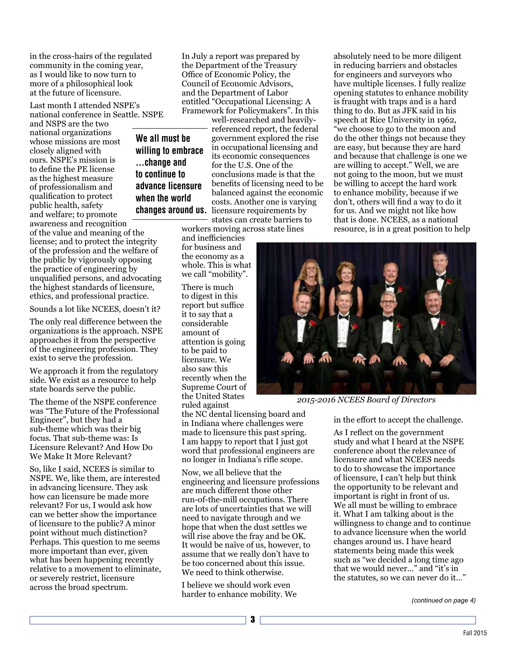in the cross-hairs of the regulated community in the coming year, as I would like to now turn to more of a philosophical look at the future of licensure.

Last month I attended NSPE's national conference in Seattle. NSPE

**We all must be** 

**...change and to continue to advance licensure when the world** 

and NSPS are the two national organizations whose missions are most closely aligned with ours. NSPE's mission is to define the PE license as the highest measure of professionalism and qualification to protect public health, safety and welfare; to promote awareness and recognition

of the value and meaning of the license; and to protect the integrity of the profession and the welfare of the public by vigorously opposing the practice of engineering by unqualified persons, and advocating the highest standards of licensure, ethics, and professional practice.

Sounds a lot like NCEES, doesn't it?

The only real difference between the organizations is the approach. NSPE approaches it from the perspective of the engineering profession. They exist to serve the profession.

We approach it from the regulatory side. We exist as a resource to help state boards serve the public.

The theme of the NSPE conference was "The Future of the Professional Engineer", but they had a sub-theme which was their big focus. That sub-theme was: Is Licensure Relevant? And How Do We Make It More Relevant?

So, like I said, NCEES is similar to NSPE. We, like them, are interested in advancing licensure. They ask how can licensure be made more relevant? For us, I would ask how can we better show the importance of licensure to the public? A minor point without much distinction? Perhaps. This question to me seems more important than ever, given what has been happening recently relative to a movement to eliminate, or severely restrict, licensure across the broad spectrum.

In July a report was prepared by the Department of the Treasury Office of Economic Policy, the Council of Economic Advisors, and the Department of Labor entitled "Occupational Licensing: A Framework for Policymakers". In this

well-researched and heavilyreferenced report, the federal government explored the rise in occupational licensing and its economic consequences for the U.S. One of the conclusions made is that the benefits of licensing need to be balanced against the economic costs. Another one is varying **changes around us.** licensure requirements by **willing to embrace** 

states can create barriers to workers moving across state lines

and inefficiencies for business and the economy as a whole. This is what we call "mobility".

There is much to digest in this report but suffice it to say that a considerable amount of attention is going to be paid to licensure. We also saw this recently when the Supreme Court of the United States ruled against

the NC dental licensing board and in Indiana where challenges were made to licensure this past spring. I am happy to report that I just got word that professional engineers are no longer in Indiana's rifle scope.

Now, we all believe that the engineering and licensure professions are much different those other run-of-the-mill occupations. There are lots of uncertainties that we will need to navigate through and we hope that when the dust settles we will rise above the fray and be OK. It would be naïve of us, however, to assume that we really don't have to be too concerned about this issue. We need to think otherwise.

I believe we should work even harder to enhance mobility. We absolutely need to be more diligent in reducing barriers and obstacles for engineers and surveyors who have multiple licenses. I fully realize opening statutes to enhance mobility is fraught with traps and is a hard thing to do. But as JFK said in his speech at Rice University in 1962, "we choose to go to the moon and do the other things not because they are easy, but because they are hard and because that challenge is one we are willing to accept." Well, we are not going to the moon, but we must be willing to accept the hard work to enhance mobility, because if we don't, others will find a way to do it for us. And we might not like how that is done. NCEES, as a national resource, is in a great position to help



*2015-2016 NCEES Board of Directors* 

in the effort to accept the challenge.

As I reflect on the government study and what I heard at the NSPE conference about the relevance of licensure and what NCEES needs to do to showcase the importance of licensure, I can't help but think the opportunity to be relevant and important is right in front of us. We all must be willing to embrace it. What I am talking about is the willingness to change and to continue to advance licensure when the world changes around us. I have heard statements being made this week such as "we decided a long time ago that we would never…" and "it's in the statutes, so we can never do it…"

*(continued on page 4)*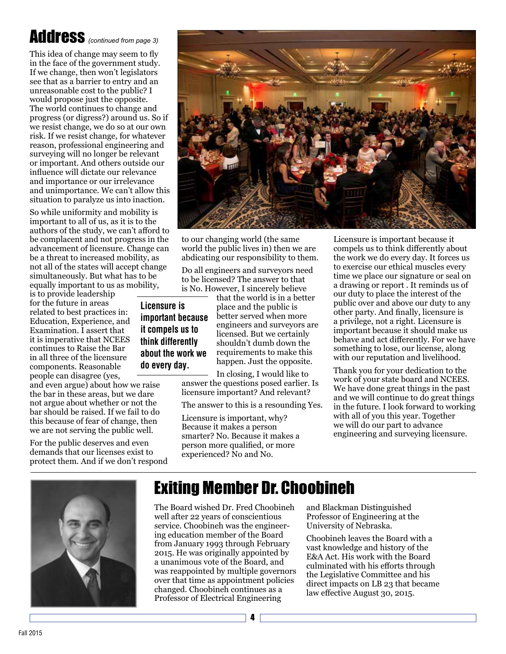# Address *(continued from page 3)*

This idea of change may seem to fly in the face of the government study. If we change, then won't legislators see that as a barrier to entry and an unreasonable cost to the public? I would propose just the opposite. The world continues to change and progress (or digress?) around us. So if we resist change, we do so at our own risk. If we resist change, for whatever reason, professional engineering and surveying will no longer be relevant or important. And others outside our influence will dictate our relevance and importance or our irrelevance and unimportance. We can't allow this situation to paralyze us into inaction.

So while uniformity and mobility is important to all of us, as it is to the authors of the study, we can't afford to be complacent and not progress in the advancement of licensure. Change can be a threat to increased mobility, as not all of the states will accept change simultaneously. But what has to be equally important to us as mobility,

is to provide leadership for the future in areas related to best practices in: Education, Experience, and Examination. I assert that it is imperative that NCEES continues to Raise the Bar in all three of the licensure components. Reasonable people can disagree (yes,

and even argue) about how we raise the bar in these areas, but we dare not argue about whether or not the bar should be raised. If we fail to do this because of fear of change, then we are not serving the public well.

For the public deserves and even demands that our licenses exist to protect them. And if we don't respond



to our changing world (the same world the public lives in) then we are abdicating our responsibility to them.

Do all engineers and surveyors need to be licensed? The answer to that is No. However, I sincerely believe

**Licensure is important because it compels us to think differently about the work we do every day.**

that the world is in a better place and the public is better served when more engineers and surveyors are licensed. But we certainly shouldn't dumb down the requirements to make this happen. Just the opposite.

In closing, I would like to answer the questions posed earlier. Is licensure important? And relevant?

The answer to this is a resounding Yes.

Licensure is important, why? Because it makes a person smarter? No. Because it makes a person more qualified, or more experienced? No and No.

Licensure is important because it compels us to think differently about the work we do every day. It forces us to exercise our ethical muscles every time we place our signature or seal on a drawing or report . It reminds us of our duty to place the interest of the public over and above our duty to any other party. And finally, licensure is a privilege, not a right. Licensure is important because it should make us behave and act differently. For we have something to lose, our license, along with our reputation and livelihood.

Thank you for your dedication to the work of your state board and NCEES. We have done great things in the past and we will continue to do great things in the future. I look forward to working with all of you this year. Together we will do our part to advance engineering and surveying licensure.



## Exiting Member Dr. Choobineh

The Board wished Dr. Fred Choobineh well after 22 years of conscientious service. Choobineh was the engineering education member of the Board from January 1993 through February 2015. He was originally appointed by a unanimous vote of the Board, and was reappointed by multiple governors over that time as appointment policies changed. Choobineh continues as a Professor of Electrical Engineering

and Blackman Distinguished Professor of Engineering at the University of Nebraska.

Choobineh leaves the Board with a vast knowledge and history of the E&A Act. His work with the Board culminated with his efforts through the Legislative Committee and his direct impacts on LB 23 that became law effective August 30, 2015.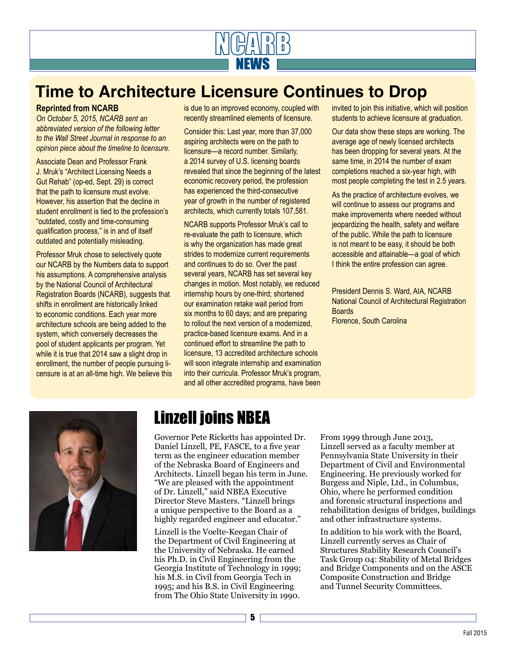

## **Time to Architecture Licensure Continues to Drop**

#### **Reprinted from NCARB**

*On October 5, 2015, NCARB sent an abbreviated version of the following letter to the Wall Street Journal in response to an opinion piece about the timeline to licensure.* 

Associate Dean and Professor Frank J. Mruk's "Architect Licensing Needs a Gut Rehab" (op-ed, Sept. 29) is correct that the path to licensure must evolve. However, his assertion that the decline in student enrollment is tied to the profession's "outdated, costly and time-consuming qualification process," is in and of itself outdated and potentially misleading.

Professor Mruk chose to selectively quote our NCARB by the Numbers data to support his assumptions. A comprehensive analysis by the National Council of Architectural Registration Boards (NCARB), suggests that shifts in enrollment are historically linked to economic conditions. Each year more architecture schools are being added to the system, which conversely decreases the pool of student applicants per program. Yet while it is true that 2014 saw a slight drop in enrollment, the number of people pursuing licensure is at an all-time high. We believe this is due to an improved economy, coupled with recently streamlined elements of licensure.

Consider this: Last year, more than 37,000 aspiring architects were on the path to licensure—a record number. Similarly, a 2014 survey of U.S. licensing boards revealed that since the beginning of the latest economic recovery period, the profession has experienced the third-consecutive year of growth in the number of registered architects, which currently totals 107,581.

NCARB supports Professor Mruk's call to re-evaluate the path to licensure, which is why the organization has made great strides to modernize current requirements and continues to do so. Over the past several years, NCARB has set several key changes in motion. Most notably, we reduced internship hours by one-third; shortened our examination retake wait period from six months to 60 days; and are preparing to rollout the next version of a modernized, practice-based licensure exams. And in a continued effort to streamline the path to licensure, 13 accredited architecture schools will soon integrate internship and examination into their curricula. Professor Mruk's program, and all other accredited programs, have been

invited to join this initiative, which will position students to achieve licensure at graduation.

Our data show these steps are working. The average age of newly licensed architects has been dropping for several years. At the same time, in 2014 the number of exam completions reached a six-year high, with most people completing the test in 2.5 years.

As the practice of architecture evolves, we will continue to assess our programs and make improvements where needed without jeopardizing the health, safety and welfare of the public. While the path to licensure is not meant to be easy, it should be both accessible and attainable—a goal of which I think the entire profession can agree.

President Dennis S. Ward, AIA, NCARB National Council of Architectural Registration **Boards** Florence, South Carolina





## Linzell joins NBEA

Governor Pete Ricketts has appointed Dr. Daniel Linzell, PE, FASCE, to a five year term as the engineer education member of the Nebraska Board of Engineers and Architects. Linzell began his term in June. "We are pleased with the appointment of Dr. Linzell," said NBEA Executive Director Steve Masters. "Linzell brings a unique perspective to the Board as a highly regarded engineer and educator."

Linzell is the Voelte-Keegan Chair of the Department of Civil Engineering at the University of Nebraska. He earned his Ph.D. in Civil Engineering from the Georgia Institute of Technology in 1999; his M.S. in Civil from Georgia Tech in 1995; and his B.S. in Civil Engineering from The Ohio State University in 1990.

From 1999 through June 2013, Linzell served as a faculty member at Pennsylvania State University in their Department of Civil and Environmental Engineering. He previously worked for Burgess and Niple, Ltd., in Columbus, Ohio, where he performed condition and forensic structural inspections and rehabilitation designs of bridges, buildings and other infrastructure systems.

In addition to his work with the Board, Linzell currently serves as Chair of Structures Stability Research Council's Task Group 04: Stability of Metal Bridges and Bridge Components and on the ASCE Composite Construction and Bridge and Tunnel Security Committees.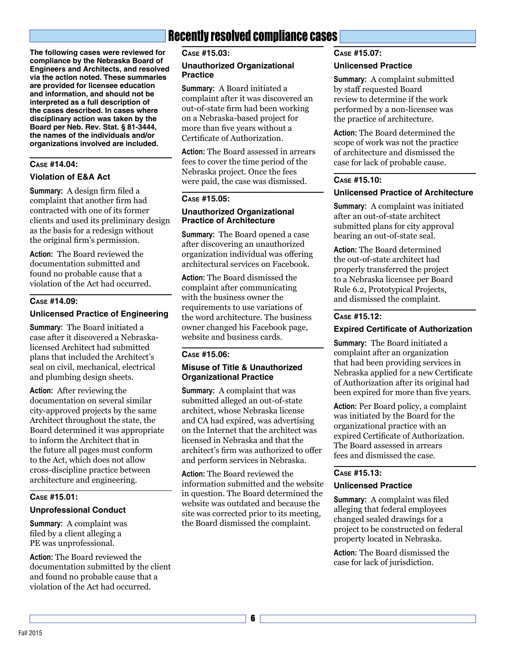**The following cases were reviewed for compliance by the Nebraska Board of Engineers and Architects, and resolved via the action noted. These summaries are provided for licensee education and information, and should not be interpreted as a full description of the cases described. In cases where disciplinary action was taken by the Board per Neb. Rev. Stat. § 81-3444, the names of the individuals and/or organizations involved are included.**

#### **Case #14.04:**

#### **Violation of E&A Act**

**Summary:** A design firm filed a complaint that another firm had contracted with one of its former clients and used its preliminary design as the basis for a redesign without the original firm's permission.

**Action:** The Board reviewed the documentation submitted and found no probable cause that a violation of the Act had occurred.

#### **Case #14.09:**

#### **Unlicensed Practice of Engineering**

**Summary:** The Board initiated a case after it discovered a Nebraskalicensed Architect had submitted plans that included the Architect's seal on civil, mechanical, electrical and plumbing design sheets.

**Action:** After reviewing the documentation on several similar city-approved projects by the same Architect throughout the state, the Board determined it was appropriate to inform the Architect that in the future all pages must conform to the Act, which does not allow cross-discipline practice between architecture and engineering.

#### **Case #15.01:**

#### **Unprofessional Conduct**

**Summary:** A complaint was filed by a client alleging a PE was unprofessional.

**Action:** The Board reviewed the documentation submitted by the client and found no probable cause that a violation of the Act had occurred.

### Recently resolved compliance cases

**Case #15.03:**

#### **Unauthorized Organizational Practice**

**Summary:** A Board initiated a complaint after it was discovered an out-of-state firm had been working on a Nebraska-based project for more than five years without a Certificate of Authorization.

**Action:** The Board assessed in arrears fees to cover the time period of the Nebraska project. Once the fees were paid, the case was dismissed.

#### **Case #15.05:**

#### **Unauthorized Organizational Practice of Architecture**

**Summary:** The Board opened a case after discovering an unauthorized organization individual was offering architectural services on Facebook.

**Action:** The Board dismissed the complaint after communicating with the business owner the requirements to use variations of the word architecture. The business owner changed his Facebook page, website and business cards.

#### **Case #15.06:**

#### **Misuse of Title & Unauthorized Organizational Practice**

**Summary:** A complaint that was submitted alleged an out-of-state architect, whose Nebraska license and CA had expired, was advertising on the Internet that the architect was licensed in Nebraska and that the architect's firm was authorized to offer and perform services in Nebraska.

**Action:** The Board reviewed the information submitted and the website in question. The Board determined the website was outdated and because the site was corrected prior to its meeting, the Board dismissed the complaint.

#### **Case #15.07:**

#### **Unlicensed Practice**

**Summary:** A complaint submitted by staff requested Board review to determine if the work performed by a non-licensee was the practice of architecture.

**Action:** The Board determined the scope of work was not the practice of architecture and dismissed the case for lack of probable cause.

#### **Case #15.10:**

#### **Unlicensed Practice of Architecture**

**Summary:** A complaint was initiated after an out-of-state architect submitted plans for city approval bearing an out-of-state seal.

**Action:** The Board determined the out-of-state architect had properly transferred the project to a Nebraska licensee per Board Rule 6.2, Prototypical Projects, and dismissed the complaint.

#### **Case #15.12:**

#### **Expired Certificate of Authorization**

**Summary:** The Board initiated a complaint after an organization that had been providing services in Nebraska applied for a new Certificate of Authorization after its original had been expired for more than five years.

**Action:** Per Board policy, a complaint was initiated by the Board for the organizational practice with an expired Certificate of Authorization. The Board assessed in arrears fees and dismissed the case.

#### **Case #15.13:**

#### **Unlicensed Practice**

**Summary:** A complaint was filed alleging that federal employees changed sealed drawings for a project to be constructed on federal property located in Nebraska.

**Action:** The Board dismissed the case for lack of jurisdiction.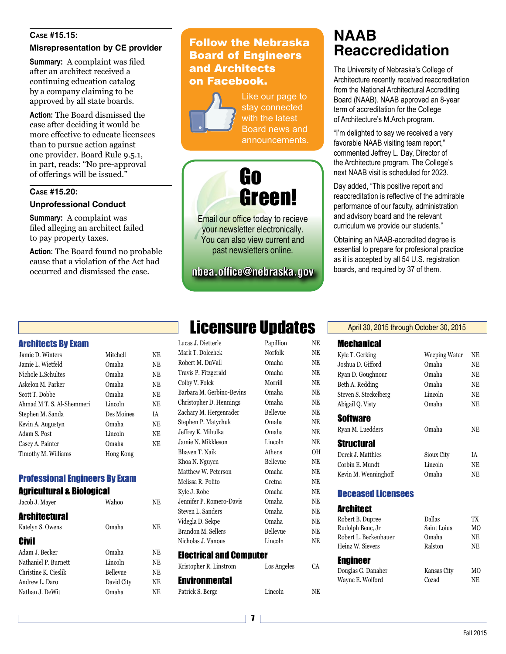#### **Case #15.15:**

#### **Misrepresentation by CE provider**

**Summary:** A complaint was filed after an architect received a continuing education catalog by a company claiming to be approved by all state boards.

**Action:** The Board dismissed the case after deciding it would be more effective to educate licensees than to pursue action against one provider. Board Rule 9.5.1, in part, reads: "No pre-approval of offerings will be issued."

#### **Case #15.20:**

#### **Unprofessional Conduct**

**Summary:** A complaint was filed alleging an architect failed to pay property taxes.

**Action:** The Board found no probable cause that a violation of the Act had occurred and dismissed the case.

### Follow the Nebraska Board of Engineers and Architects on Facebook.



Like our page to stay connected with the latest Board news and announcements.



Email our office today to recieve your newsletter electronically. You can also view current and past newsletters online.

**nbea.office@nebraska.gov**

## **NAAB Reaccredidation**

The University of Nebraska's College of Architecture recently received reaccreditation from the National Architectural Accrediting Board (NAAB). NAAB approved an 8-year term of accreditation for the College of Architecture's M.Arch program.

"I'm delighted to say we received a very favorable NAAB visiting team report," commented Jeffrey L. Day, Director of the Architecture program. The College's next NAAB visit is scheduled for 2023.

Day added, "This positive report and reaccreditation is reflective of the admirable performance of our faculty, administration and advisory board and the relevant curriculum we provide our students."

Obtaining an NAAB-accredited degree is essential to prepare for profesional practice as it is accepted by all 54 U.S. registration boards, and required by 37 of them.

#### Architects By Exam

| Jamie D. Winters          | Mitchell   | NE |
|---------------------------|------------|----|
| Jamie L. Wietfeld         | Omaha      | NE |
| Nichole L.Schultes        | Omaha      | NE |
| Askelon M. Parker         | Omaha      | NE |
| Scott T. Dobbe            | Omaha      | NE |
| Ahmad M T. S. Al-Shemmeri | Lincoln    | NE |
| Stephen M. Sanda          | Des Moines | IA |
| Kevin A. Augustyn         | Omaha      | NE |
| Adam S. Post              | Lincoln    | NE |
| Casey A. Painter          | Omaha      | NE |
| Timothy M. Williams       | Hong Kong  |    |

#### Professional Engineers By Exam

Agricultural & Biological

| Jacob J. Mayer       | Wahoo      | NΕ |
|----------------------|------------|----|
| <b>Architectural</b> |            |    |
| Katelyn S. Owens     | Omaha      | NE |
| <b>Civil</b>         |            |    |
| Adam J. Becker       | Omaha      | NE |
| Nathaniel P. Burnett | Lincoln    | NE |
| Christine K. Cieslik | Bellevue   | NE |
| Andrew L. Daro       | David City | NE |
| Nathan J. DeWit      | Omaha      | NΕ |
|                      |            |    |

# **Licensure Updates**

| Lucas J. Dietterle             | Papillion   | NЕ        |
|--------------------------------|-------------|-----------|
| Mark T. Dolechek               | Norfolk     | <b>NE</b> |
| Robert M. DuVall               | Omaha       | <b>NE</b> |
| Travis P. Fitzgerald           | Omaha       | NE        |
| Colby V. Folck                 | Morrill     | NE        |
| Barbara M. Gerbino-Bevins      | Omaha       | <b>NE</b> |
| Christopher D. Hennings        | Omaha       | <b>NE</b> |
| Zachary M. Hergenrader         | Bellevue    | <b>NE</b> |
| Stephen P. Matychuk            | Omaha       | <b>NE</b> |
| Jeffrey K. Mihulka             | Omaha       | <b>NE</b> |
| Jamie N. Mikkleson             | Lincoln     | <b>NE</b> |
| Bhaven T. Naik                 | Athens      | 0H        |
| Khoa N. Nguyen                 | Bellevue    | <b>NE</b> |
| Matthew W. Peterson            | Omaha       | <b>NE</b> |
| Melissa R. Polito              | Gretna      | <b>NE</b> |
| Kyle J. Robe                   | Omaha       | <b>NE</b> |
| Jennifer P. Romero-Davis       | Omaha       | <b>NE</b> |
| Steven L. Sanders              | Omaha       | <b>NE</b> |
| Videgla D. Sekpe               | Omaha       | <b>NE</b> |
| Brandon M. Sellers             | Bellevue    | <b>NE</b> |
| Nicholas J. Vanous             | Lincoln     | <b>NE</b> |
| <b>Electrical and Computer</b> |             |           |
| Kristopher R. Linstrom         | Los Angeles | CA        |
| <b>Environmental</b>           |             |           |
| Patrick S. Berge               | Lincoln     | <b>NE</b> |

|  | April 30, 2015 through October 30, 2015 |  |  |
|--|-----------------------------------------|--|--|
|--|-----------------------------------------|--|--|

### Mechanical

| Kyle T. Gerking       | <b>Weeping Water</b> | <b>NE</b> |
|-----------------------|----------------------|-----------|
| Joshua D. Gifford     | Omaha                | NE        |
| Ryan D. Goughnour     | Omaha                | NE        |
| Beth A. Redding       | Omaha                | NE        |
| Steven S. Steckelberg | Lincoln              | <b>NE</b> |
| Abigail O. Vistv      | Omaha                | <b>NE</b> |
| Software              |                      |           |
| Ryan M. Luedders      | Omaha                | <b>NE</b> |
| Structural            |                      |           |
| Derek J. Matthies     | Sioux City           | ĪА        |
| Corbin E. Mundt       | Lincoln              | NE        |
| Kevin M. Wenninghoff  | Omaha                | <b>NE</b> |
|                       |                      |           |

#### Deceased Licensees

| <b>Architect</b>      |             |     |
|-----------------------|-------------|-----|
| Robert B. Dupree      | Dallas      | TХ  |
| Rudolph Beuc, Jr      | Saint Loius | MO  |
| Robert L. Beckenhauer | Omaha       | NE  |
| Heinz W. Sievers      | Ralston     | NE. |
| <b>Engineer</b>       |             |     |
| Douglas G. Danaher    | Kansas City | MО  |
| Wayne E. Wolford      | Cozad       | NF. |